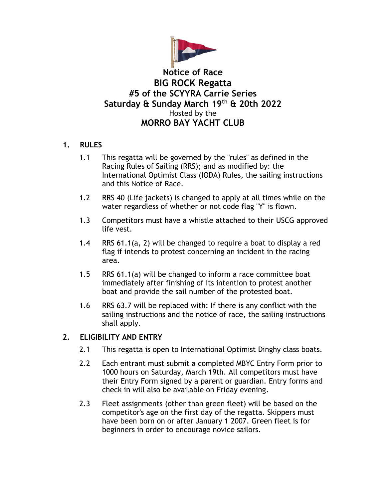

# **Notice of Race BIG ROCK Regatta #5 of the SCYYRA Carrie Series Saturday & Sunday March 19th & 20th 2022** Hosted by the **MORRO BAY YACHT CLUB**

## **1. RULES**

- 1.1 This regatta will be governed by the "rules" as defined in the Racing Rules of Sailing (RRS); and as modified by: the International Optimist Class (IODA) Rules, the sailing instructions and this Notice of Race.
- 1.2 RRS 40 (Life jackets) is changed to apply at all times while on the water regardless of whether or not code flag "Y" is flown.
- 1.3 Competitors must have a whistle attached to their USCG approved life vest.
- 1.4 RRS 61.1(a, 2) will be changed to require a boat to display a red flag if intends to protest concerning an incident in the racing area.
- 1.5 RRS 61.1(a) will be changed to inform a race committee boat immediately after finishing of its intention to protest another boat and provide the sail number of the protested boat.
- 1.6 RRS 63.7 will be replaced with: If there is any conflict with the sailing instructions and the notice of race, the sailing instructions shall apply.

#### **2. ELIGIBILITY AND ENTRY**

- 2.1 This regatta is open to International Optimist Dinghy class boats.
- 2.2 Each entrant must submit a completed MBYC Entry Form prior to 1000 hours on Saturday, March 19th. All competitors must have their Entry Form signed by a parent or guardian. Entry forms and check in will also be available on Friday evening.
- 2.3 Fleet assignments (other than green fleet) will be based on the competitor's age on the first day of the regatta. Skippers must have been born on or after January 1 2007. Green fleet is for beginners in order to encourage novice sailors.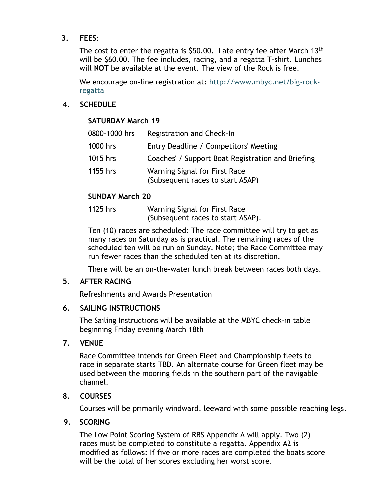## **3. FEES**:

The cost to enter the regatta is \$50.00. Late entry fee after March 13<sup>th</sup> will be \$60.00. The fee includes, racing, and a regatta T-shirt. Lunches will **NOT** be available at the event. The view of the Rock is free.

We encourage on-line registration at: http://www.mbyc.net/big-rockregatta

## **4. SCHEDULE**

## **SATURDAY March 19**

| 0800-1000 hrs | Registration and Check-In                                         |
|---------------|-------------------------------------------------------------------|
| 1000 hrs      | Entry Deadline / Competitors' Meeting                             |
| 1015 hrs      | Coaches' / Support Boat Registration and Briefing                 |
| 1155 hrs      | Warning Signal for First Race<br>(Subsequent races to start ASAP) |

## **SUNDAY March 20**

1125 hrs Warning Signal for First Race (Subsequent races to start ASAP).

Ten (10) races are scheduled: The race committee will try to get as many races on Saturday as is practical. The remaining races of the scheduled ten will be run on Sunday. Note; the Race Committee may run fewer races than the scheduled ten at its discretion.

There will be an on-the-water lunch break between races both days.

#### **5. AFTER RACING**

Refreshments and Awards Presentation

#### **6. SAILING INSTRUCTIONS**

The Sailing Instructions will be available at the MBYC check-in table beginning Friday evening March 18th

## **7. VENUE**

Race Committee intends for Green Fleet and Championship fleets to race in separate starts TBD. An alternate course for Green fleet may be used between the mooring fields in the southern part of the navigable channel.

## **8. COURSES**

Courses will be primarily windward, leeward with some possible reaching legs.

#### **9. SCORING**

The Low Point Scoring System of RRS Appendix A will apply. Two (2) races must be completed to constitute a regatta. Appendix A2 is modified as follows: If five or more races are completed the boats score will be the total of her scores excluding her worst score.